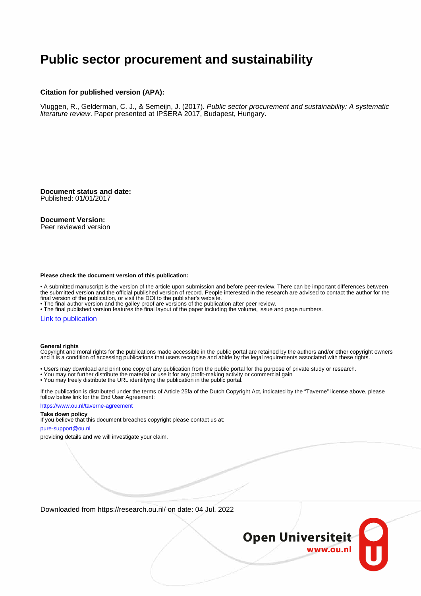## **Public sector procurement and sustainability**

#### **Citation for published version (APA):**

Vluggen, R., Gelderman, C. J., & Semeijn, J. (2017). Public sector procurement and sustainability: A systematic literature review. Paper presented at IPSERA 2017, Budapest, Hungary.

**Document status and date:** Published: 01/01/2017

#### **Document Version:**

Peer reviewed version

#### **Please check the document version of this publication:**

• A submitted manuscript is the version of the article upon submission and before peer-review. There can be important differences between the submitted version and the official published version of record. People interested in the research are advised to contact the author for the final version of the publication, or visit the DOI to the publisher's website.

• The final author version and the galley proof are versions of the publication after peer review.

• The final published version features the final layout of the paper including the volume, issue and page numbers.

#### [Link to publication](https://research.ou.nl/en/publications/3d801a83-6b43-42a7-9962-a65d8521ac63)

#### **General rights**

Copyright and moral rights for the publications made accessible in the public portal are retained by the authors and/or other copyright owners and it is a condition of accessing publications that users recognise and abide by the legal requirements associated with these rights.

- Users may download and print one copy of any publication from the public portal for the purpose of private study or research.
- You may not further distribute the material or use it for any profit-making activity or commercial gain
- You may freely distribute the URL identifying the publication in the public portal.

If the publication is distributed under the terms of Article 25fa of the Dutch Copyright Act, indicated by the "Taverne" license above, please follow below link for the End User Agreement:

#### https://www.ou.nl/taverne-agreement

#### **Take down policy**

If you believe that this document breaches copyright please contact us at:

#### pure-support@ou.nl

providing details and we will investigate your claim.

Downloaded from https://research.ou.nl/ on date: 04 Jul. 2022

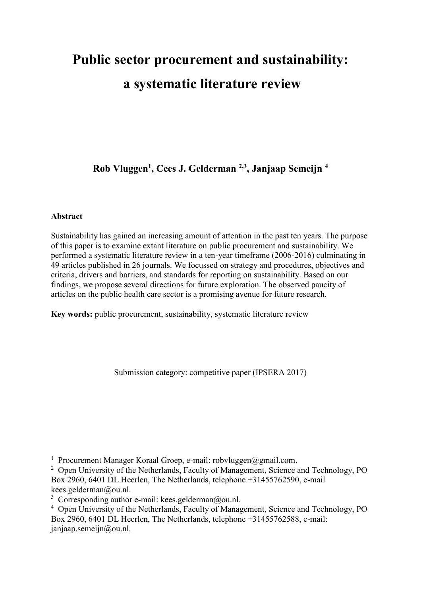# **Public sector procurement and sustainability: a systematic literature review**

**Rob Vluggen1 , Cees J. Gelderman 2,3, Janjaap Semeijn 4**

#### **Abstract**

Sustainability has gained an increasing amount of attention in the past ten years. The purpose of this paper is to examine extant literature on public procurement and sustainability. We performed a systematic literature review in a ten-year timeframe (2006-2016) culminating in 49 articles published in 26 journals. We focussed on strategy and procedures, objectives and criteria, drivers and barriers, and standards for reporting on sustainability. Based on our findings, we propose several directions for future exploration. The observed paucity of articles on the public health care sector is a promising avenue for future research.

**Key words:** public procurement, sustainability, systematic literature review

Submission category: competitive paper (IPSERA 2017)

<sup>1</sup> Procurement Manager Koraal Groep, e-mail: robvluggen@gmail.com.

<sup>2</sup> Open University of the Netherlands, Faculty of Management, Science and Technology, PO Box 2960, 6401 DL Heerlen, The Netherlands, telephone +31455762590, e-mail kees.gelderman@ou.nl.

<sup>3</sup> Corresponding author e-mail: kees.gelderman@ou.nl.

<sup>4</sup> Open University of the Netherlands, Faculty of Management, Science and Technology, PO Box 2960, 6401 DL Heerlen, The Netherlands, telephone +31455762588, e-mail: janjaap.semeijn@ou.nl.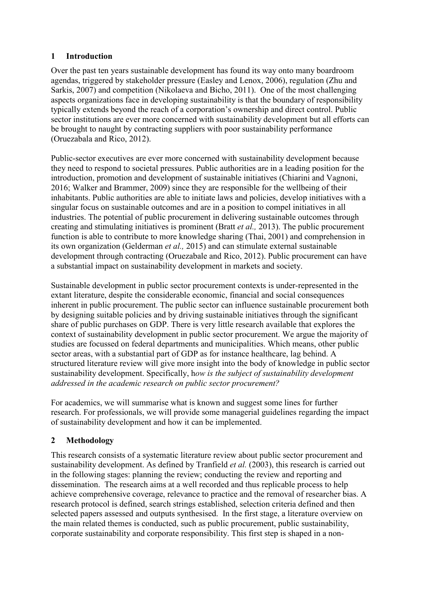## **1 Introduction**

Over the past ten years sustainable development has found its way onto many boardroom agendas, triggered by stakeholder pressure (Easley and Lenox, 2006), regulation (Zhu and Sarkis, 2007) and competition (Nikolaeva and Bicho, 2011). One of the most challenging aspects organizations face in developing sustainability is that the boundary of responsibility typically extends beyond the reach of a corporation's ownership and direct control. Public sector institutions are ever more concerned with sustainability development but all efforts can be brought to naught by contracting suppliers with poor sustainability performance (Oruezabala and Rico, 2012).

Public-sector executives are ever more concerned with sustainability development because they need to respond to societal pressures. Public authorities are in a leading position for the introduction, promotion and development of sustainable initiatives (Chiarini and Vagnoni, 2016; Walker and Brammer, 2009) since they are responsible for the wellbeing of their inhabitants. Public authorities are able to initiate laws and policies, develop initiatives with a singular focus on sustainable outcomes and are in a position to compel initiatives in all industries. The potential of public procurement in delivering sustainable outcomes through creating and stimulating initiatives is prominent (Bratt *et al.,* 2013). The public procurement function is able to contribute to more knowledge sharing (Thai, 2001) and comprehension in its own organization (Gelderman *et al.,* 2015) and can stimulate external sustainable development through contracting (Oruezabale and Rico, 2012). Public procurement can have a substantial impact on sustainability development in markets and society.

Sustainable development in public sector procurement contexts is under-represented in the extant literature, despite the considerable economic, financial and social consequences inherent in public procurement. The public sector can influence sustainable procurement both by designing suitable policies and by driving sustainable initiatives through the significant share of public purchases on GDP. There is very little research available that explores the context of sustainability development in public sector procurement. We argue the majority of studies are focussed on federal departments and municipalities. Which means, other public sector areas, with a substantial part of GDP as for instance healthcare, lag behind. A structured literature review will give more insight into the body of knowledge in public sector sustainability development. Specifically, h*ow is the subject of sustainability development addressed in the academic research on public sector procurement?*

For academics, we will summarise what is known and suggest some lines for further research. For professionals, we will provide some managerial guidelines regarding the impact of sustainability development and how it can be implemented.

## **2 Methodology**

This research consists of a systematic literature review about public sector procurement and sustainability development. As defined by Tranfield *et al.* (2003), this research is carried out in the following stages: planning the review; conducting the review and reporting and dissemination. The research aims at a well recorded and thus replicable process to help achieve comprehensive coverage, relevance to practice and the removal of researcher bias. A research protocol is defined, search strings established, selection criteria defined and then selected papers assessed and outputs synthesised. In the first stage, a literature overview on the main related themes is conducted, such as public procurement, public sustainability, corporate sustainability and corporate responsibility. This first step is shaped in a non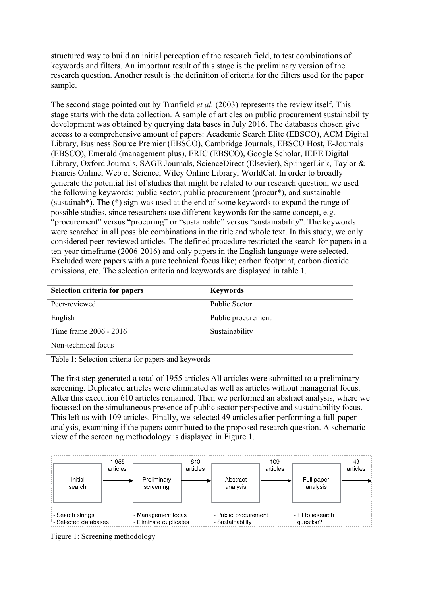structured way to build an initial perception of the research field, to test combinations of keywords and filters. An important result of this stage is the preliminary version of the research question. Another result is the definition of criteria for the filters used for the paper sample.

The second stage pointed out by Tranfield *et al.* (2003) represents the review itself. This stage starts with the data collection. A sample of articles on public procurement sustainability development was obtained by querying data bases in July 2016. The databases chosen give access to a comprehensive amount of papers: Academic Search Elite (EBSCO), ACM Digital Library, Business Source Premier (EBSCO), Cambridge Journals, EBSCO Host, E-Journals (EBSCO), Emerald (management plus), ERIC (EBSCO), Google Scholar, IEEE Digital Library, Oxford Journals, SAGE Journals, ScienceDirect (Elsevier), SpringerLink, Taylor & Francis Online, Web of Science, Wiley Online Library, WorldCat. In order to broadly generate the potential list of studies that might be related to our research question, we used the following keywords: public sector, public procurement (procur\*), and sustainable (sustainab\*). The (\*) sign was used at the end of some keywords to expand the range of possible studies, since researchers use different keywords for the same concept, e.g. "procurement" versus "procuring" or "sustainable" versus "sustainability". The keywords were searched in all possible combinations in the title and whole text. In this study, we only considered peer-reviewed articles. The defined procedure restricted the search for papers in a ten-year timeframe (2006-2016) and only papers in the English language were selected. Excluded were papers with a pure technical focus like; carbon footprint, carbon dioxide emissions, etc. The selection criteria and keywords are displayed in table 1.

| Selection criteria for papers | <b>Keywords</b>    |
|-------------------------------|--------------------|
| Peer-reviewed                 | Public Sector      |
| English                       | Public procurement |
| Time frame 2006 - 2016        | Sustainability     |
| Non-technical focus           |                    |

Table 1: Selection criteria for papers and keywords

The first step generated a total of 1955 articles All articles were submitted to a preliminary screening. Duplicated articles were eliminated as well as articles without managerial focus. After this execution 610 articles remained. Then we performed an abstract analysis, where we focussed on the simultaneous presence of public sector perspective and sustainability focus. This left us with 109 articles. Finally, we selected 49 articles after performing a full-paper analysis, examining if the papers contributed to the proposed research question. A schematic view of the screening methodology is displayed in Figure 1.



Figure 1: Screening methodology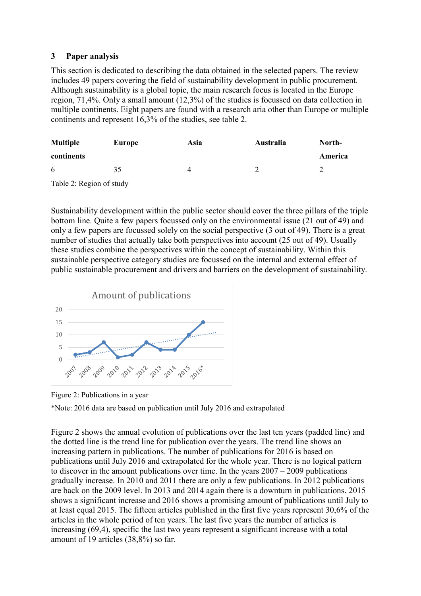## **3 Paper analysis**

This section is dedicated to describing the data obtained in the selected papers. The review includes 49 papers covering the field of sustainability development in public procurement. Although sustainability is a global topic, the main research focus is located in the Europe region, 71,4%. Only a small amount (12,3%) of the studies is focussed on data collection in multiple continents. Eight papers are found with a research aria other than Europe or multiple continents and represent 16,3% of the studies, see table 2.

| <b>Multiple</b> | Australia<br><b>Europe</b><br>Asia |  |  | North-  |  |
|-----------------|------------------------------------|--|--|---------|--|
| continents      |                                    |  |  | America |  |
|                 | 99                                 |  |  | ∽       |  |

Table 2: Region of study

Sustainability development within the public sector should cover the three pillars of the triple bottom line. Quite a few papers focussed only on the environmental issue (21 out of 49) and only a few papers are focussed solely on the social perspective (3 out of 49). There is a great number of studies that actually take both perspectives into account (25 out of 49). Usually these studies combine the perspectives within the concept of sustainability. Within this sustainable perspective category studies are focussed on the internal and external effect of public sustainable procurement and drivers and barriers on the development of sustainability.



Figure 2: Publications in a year

\*Note: 2016 data are based on publication until July 2016 and extrapolated

Figure 2 shows the annual evolution of publications over the last ten years (padded line) and the dotted line is the trend line for publication over the years. The trend line shows an increasing pattern in publications. The number of publications for 2016 is based on publications until July 2016 and extrapolated for the whole year. There is no logical pattern to discover in the amount publications over time. In the years 2007 – 2009 publications gradually increase. In 2010 and 2011 there are only a few publications. In 2012 publications are back on the 2009 level. In 2013 and 2014 again there is a downturn in publications. 2015 shows a significant increase and 2016 shows a promising amount of publications until July to at least equal 2015. The fifteen articles published in the first five years represent 30,6% of the articles in the whole period of ten years. The last five years the number of articles is increasing (69,4), specific the last two years represent a significant increase with a total amount of 19 articles (38,8%) so far.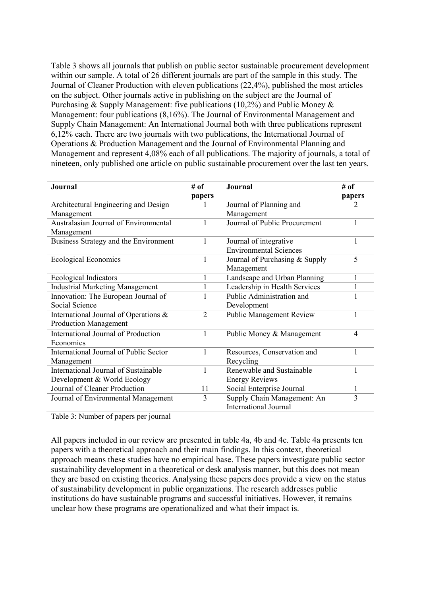Table 3 shows all journals that publish on public sector sustainable procurement development within our sample. A total of 26 different journals are part of the sample in this study. The Journal of Cleaner Production with eleven publications (22,4%), published the most articles on the subject. Other journals active in publishing on the subject are the Journal of Purchasing & Supply Management: five publications (10,2%) and Public Money & Management: four publications (8,16%). The Journal of Environmental Management and Supply Chain Management: An International Journal both with three publications represent 6,12% each. There are two journals with two publications, the International Journal of Operations & Production Management and the Journal of Environmental Planning and Management and represent 4,08% each of all publications. The majority of journals, a total of nineteen, only published one article on public sustainable procurement over the last ten years.

| <b>Journal</b>                               | # of           | <b>Journal</b>                  | # of   |
|----------------------------------------------|----------------|---------------------------------|--------|
|                                              | papers         |                                 | papers |
| Architectural Engineering and Design         |                | Journal of Planning and         | 2      |
| Management                                   |                | Management                      |        |
| <b>Australasian Journal of Environmental</b> |                | Journal of Public Procurement   |        |
| Management                                   |                |                                 |        |
| Business Strategy and the Environment        | 1              | Journal of integrative          |        |
|                                              |                | <b>Environmental Sciences</b>   |        |
| <b>Ecological Economics</b>                  | 1              | Journal of Purchasing & Supply  | 5      |
|                                              |                | Management                      |        |
| <b>Ecological Indicators</b>                 | 1              | Landscape and Urban Planning    | 1      |
| <b>Industrial Marketing Management</b>       | 1              | Leadership in Health Services   |        |
| Innovation: The European Journal of          |                | Public Administration and       |        |
| Social Science                               |                | Development                     |        |
| International Journal of Operations &        | $\overline{2}$ | <b>Public Management Review</b> |        |
| <b>Production Management</b>                 |                |                                 |        |
| <b>International Journal of Production</b>   | 1              | Public Money & Management       | 4      |
| Economics                                    |                |                                 |        |
| International Journal of Public Sector       | 1              | Resources, Conservation and     | 1      |
| Management                                   |                | Recycling                       |        |
| International Journal of Sustainable         | 1              | Renewable and Sustainable       |        |
| Development & World Ecology                  |                | <b>Energy Reviews</b>           |        |
| Journal of Cleaner Production                | 11             | Social Enterprise Journal       | 1      |
| Journal of Environmental Management          | 3              | Supply Chain Management: An     | 3      |
|                                              |                | <b>International Journal</b>    |        |

Table 3: Number of papers per journal

All papers included in our review are presented in table 4a, 4b and 4c. Table 4a presents ten papers with a theoretical approach and their main findings. In this context, theoretical approach means these studies have no empirical base. These papers investigate public sector sustainability development in a theoretical or desk analysis manner, but this does not mean they are based on existing theories. Analysing these papers does provide a view on the status of sustainability development in public organizations. The research addresses public institutions do have sustainable programs and successful initiatives. However, it remains unclear how these programs are operationalized and what their impact is.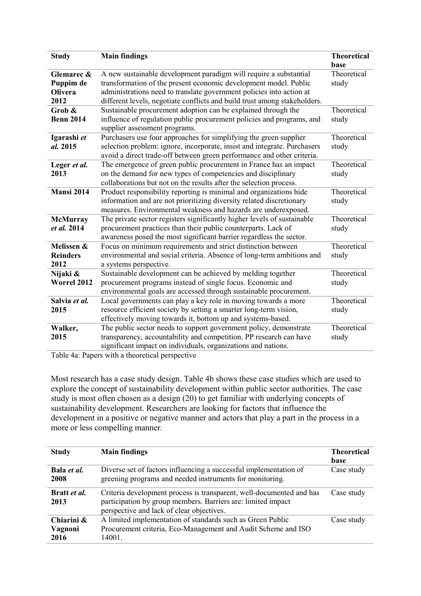| <b>Study</b>       | <b>Main findings</b>                                                      | <b>Theoretical</b><br>base |
|--------------------|---------------------------------------------------------------------------|----------------------------|
| Glemarec &         | A new sustainable development paradigm will require a substantial         | Theoretical                |
| Puppim de          | transformation of the present economic development model. Public          | study                      |
| Olivera            | administrations need to translate government policies into action at      |                            |
| 2012               | different levels, negotiate conflicts and build trust among stakeholders. |                            |
| Grob &             | Sustainable procurement adoption can be explained through the             | Theoretical                |
| <b>Benn 2014</b>   | influence of regulation public procurement policies and programs, and     | study                      |
|                    | supplier assessment programs.                                             |                            |
| Igarashi et        | Purchasers use four approaches for simplifying the green supplier         | Theoretical                |
| al. 2015           | selection problem: ignore, incorporate, insist and integrate. Purchasers  | study                      |
|                    | avoid a direct trade-off between green performance and other criteria.    |                            |
| Leger et al.       | The emergence of green public procurement in France has an impact         | Theoretical                |
| 2013               | on the demand for new types of competencies and disciplinary              | study                      |
|                    | collaborations but not on the results after the selection process.        |                            |
| <b>Mansi 2014</b>  | Product responsibility reporting is minimal and organizations hide        | Theoretical                |
|                    | information and are not prioritizing diversity related discretionary      | study                      |
|                    | measures. Environmental weakness and hazards are underexposed.            |                            |
| <b>McMurray</b>    | The private sector registers significantly higher levels of sustainable   | Theoretical                |
| et al. 2014        | procurement practices than their public counterparts. Lack of             | study                      |
|                    | awareness posed the most significant barrier regardless the sector.       |                            |
| Melissen &         | Focus on minimum requirements and strict distinction between              | Theoretical                |
| <b>Reinders</b>    | environmental and social criteria. Absence of long-term ambitions and     | study                      |
| 2012               | a systems perspective.                                                    |                            |
| Nijaki &           | Sustainable development can be achieved by melding together               | Theoretical                |
| <b>Worrel 2012</b> | procurement programs instead of single focus. Economic and                | study                      |
|                    | environmental goals are accessed through sustainable procurement.         |                            |
| Salvia et al.      | Local governments can play a key role in moving towards a more            | Theoretical                |
| 2015               | resource efficient society by setting a smarter long-term vision,         | study                      |
|                    | effectively moving towards it, bottom up and systems-based.               |                            |
| Walker,            | The public sector needs to support government policy, demonstrate         | Theoretical                |
| 2015               | transparency, accountability and competition. PP research can have        | study                      |
|                    | significant impact on individuals, organizations and nations.             |                            |

Table 4a: Papers with a theoretical perspective

Most research has a case study design. Table 4b shows these case studies which are used to explore the concept of sustainability development within public sector authorities. The case study is most often chosen as a design (20) to get familiar with underlying concepts of sustainability development. Researchers are looking for factors that influence the development in a positive or negative manner and actors that play a part in the process in a more or less compelling manner.

| <b>Study</b>                  | <b>Main findings</b>                                                                                                                                                              | <b>Theoretical</b><br>base |
|-------------------------------|-----------------------------------------------------------------------------------------------------------------------------------------------------------------------------------|----------------------------|
| Bala et al.<br>2008           | Diverse set of factors influencing a successful implementation of<br>greening programs and needed instruments for monitoring.                                                     | Case study                 |
| Bratt <i>et al.</i><br>2013   | Criteria development process is transparent, well-documented and has<br>participation by group members. Barriers are: limited impact<br>perspective and lack of clear objectives. | Case study                 |
| Chiarini &<br>Vagnoni<br>2016 | A limited implementation of standards such as Green Public<br>Procurement criteria, Eco-Management and Audit Scheme and ISO<br>14001.                                             | Case study                 |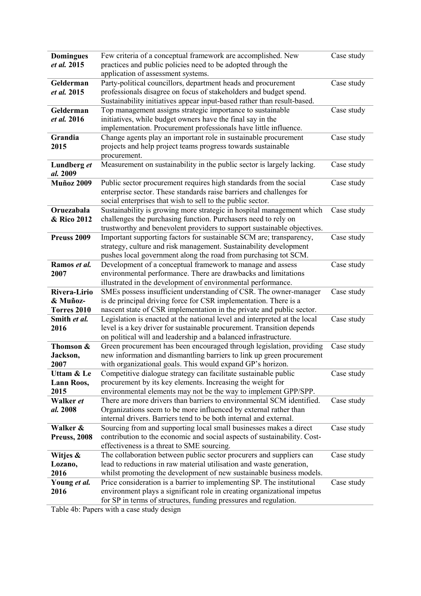| <b>Domingues</b>        | Few criteria of a conceptual framework are accomplished. New                                                                              | Case study |
|-------------------------|-------------------------------------------------------------------------------------------------------------------------------------------|------------|
| et al. 2015             | practices and public policies need to be adopted through the                                                                              |            |
|                         | application of assessment systems.                                                                                                        |            |
| Gelderman               | Party-political councillors, department heads and procurement                                                                             | Case study |
| et al. 2015             | professionals disagree on focus of stakeholders and budget spend.                                                                         |            |
|                         | Sustainability initiatives appear input-based rather than result-based.                                                                   |            |
| Gelderman               | Top management assigns strategic importance to sustainable                                                                                | Case study |
| et al. 2016             | initiatives, while budget owners have the final say in the                                                                                |            |
|                         | implementation. Procurement professionals have little influence.                                                                          |            |
| Grandia                 | Change agents play an important role in sustainable procurement                                                                           | Case study |
| 2015                    | projects and help project teams progress towards sustainable                                                                              |            |
|                         | procurement.                                                                                                                              |            |
| Lundberg et             | Measurement on sustainability in the public sector is largely lacking.                                                                    | Case study |
| al. 2009                |                                                                                                                                           |            |
| <b>Muñoz 2009</b>       | Public sector procurement requires high standards from the social                                                                         | Case study |
|                         | enterprise sector. These standards raise barriers and challenges for                                                                      |            |
|                         | social enterprises that wish to sell to the public sector.                                                                                |            |
| Oruezabala              | Sustainability is growing more strategic in hospital management which                                                                     | Case study |
| & Rico 2012             | challenges the purchasing function. Purchasers need to rely on                                                                            |            |
|                         | trustworthy and benevolent providers to support sustainable objectives.                                                                   |            |
| Preuss 2009             | Important supporting factors for sustainable SCM are; transparency,                                                                       | Case study |
|                         | strategy, culture and risk management. Sustainability development                                                                         |            |
|                         | pushes local government along the road from purchasing tot SCM.                                                                           |            |
| Ramos et al.            | Development of a conceptual framework to manage and assess                                                                                | Case study |
| 2007                    | environmental performance. There are drawbacks and limitations                                                                            |            |
| Rivera-Lirio            | illustrated in the development of environmental performance.                                                                              |            |
|                         | SMEs possess insufficient understanding of CSR. The owner-manager                                                                         | Case study |
| & Muñoz-<br>Torres 2010 | is de principal driving force for CSR implementation. There is a<br>nascent state of CSR implementation in the private and public sector. |            |
| Smith et al.            | Legislation is enacted at the national level and interpreted at the local                                                                 | Case study |
| 2016                    | level is a key driver for sustainable procurement. Transition depends                                                                     |            |
|                         | on political will and leadership and a balanced infrastructure.                                                                           |            |
| Thomson &               | Green procurement has been encouraged through legislation, providing                                                                      | Case study |
| Jackson,                | new information and dismantling barriers to link up green procurement                                                                     |            |
| 2007                    | with organizational goals. This would expand GP's horizon.                                                                                |            |
| Uttam & Le              | Competitive dialogue strategy can facilitate sustainable public                                                                           | Case study |
| Lann Roos,              | procurement by its key elements. Increasing the weight for                                                                                |            |
| 2015                    | environmental elements may not be the way to implement GPP/SPP.                                                                           |            |
| Walker et               | There are more drivers than barriers to environmental SCM identified.                                                                     | Case study |
| al. 2008                | Organizations seem to be more influenced by external rather than                                                                          |            |
|                         | internal drivers. Barriers tend to be both internal and external.                                                                         |            |
| Walker &                | Sourcing from and supporting local small businesses makes a direct                                                                        | Case study |
| Preuss, 2008            | contribution to the economic and social aspects of sustainability. Cost-                                                                  |            |
|                         | effectiveness is a threat to SME sourcing.                                                                                                |            |
| Witjes &                | The collaboration between public sector procurers and suppliers can                                                                       | Case study |
| Lozano,                 | lead to reductions in raw material utilisation and waste generation,                                                                      |            |
| 2016                    | whilst promoting the development of new sustainable business models.                                                                      |            |
| Young et al.            | Price consideration is a barrier to implementing SP. The institutional                                                                    | Case study |
| 2016                    | environment plays a significant role in creating organizational impetus                                                                   |            |
|                         | for SP in terms of structures, funding pressures and regulation.                                                                          |            |

Table 4b: Papers with a case study design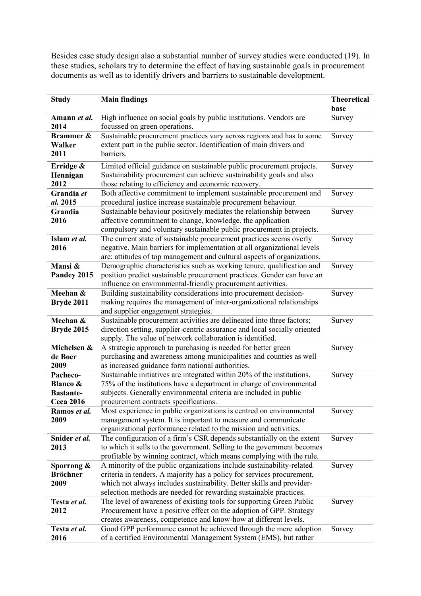Besides case study design also a substantial number of survey studies were conducted (19). In these studies, scholars try to determine the effect of having sustainable goals in procurement documents as well as to identify drivers and barriers to sustainable development.

| <b>Study</b>                                                            | <b>Main findings</b>                                                                                                                                                                                                                                                                          | <b>Theoretical</b><br>base |
|-------------------------------------------------------------------------|-----------------------------------------------------------------------------------------------------------------------------------------------------------------------------------------------------------------------------------------------------------------------------------------------|----------------------------|
| Amann et al.<br>2014                                                    | High influence on social goals by public institutions. Vendors are<br>focussed on green operations.                                                                                                                                                                                           | Survey                     |
| Brammer &<br>Walker<br>2011                                             | Sustainable procurement practices vary across regions and has to some<br>extent part in the public sector. Identification of main drivers and<br>barriers.                                                                                                                                    | Survey                     |
| Erridge &<br>Hennigan<br>2012                                           | Limited official guidance on sustainable public procurement projects.<br>Sustainability procurement can achieve sustainability goals and also<br>those relating to efficiency and economic recovery.                                                                                          | Survey                     |
| Grandia et<br>al. 2015                                                  | Both affective commitment to implement sustainable procurement and<br>procedural justice increase sustainable procurement behaviour.                                                                                                                                                          | Survey                     |
| Grandia<br>2016                                                         | Sustainable behaviour positively mediates the relationship between<br>affective commitment to change, knowledge, the application<br>compulsory and voluntary sustainable public procurement in projects.                                                                                      | Survey                     |
| Islam et al.<br>2016                                                    | The current state of sustainable procurement practices seems overly<br>negative. Main barriers for implementation at all organizational levels<br>are: attitudes of top management and cultural aspects of organizations.                                                                     | Survey                     |
| Mansi &<br>Pandey 2015                                                  | Demographic characteristics such as working tenure, qualification and<br>position predict sustainable procurement practices. Gender can have an<br>influence on environmental-friendly procurement activities.                                                                                | Survey                     |
| Meehan &<br>Bryde 2011                                                  | Building sustainability considerations into procurement decision-<br>making requires the management of inter-organizational relationships<br>and supplier engagement strategies.                                                                                                              | Survey                     |
| Meehan &<br><b>Bryde 2015</b>                                           | Sustainable procurement activities are delineated into three factors;<br>direction setting, supplier-centric assurance and local socially oriented<br>supply. The value of network collaboration is identified.                                                                               | Survey                     |
| Michelsen &<br>de Boer<br>2009                                          | A strategic approach to purchasing is needed for better green<br>purchasing and awareness among municipalities and counties as well<br>as increased guidance form national authorities.                                                                                                       | Survey                     |
| Pacheco-<br><b>Blanco &amp;</b><br><b>Bastante-</b><br><b>Ceca 2016</b> | Sustainable initiatives are integrated within 20% of the institutions.<br>75% of the institutions have a department in charge of environmental<br>subjects. Generally environmental criteria are included in public<br>procurement contracts specifications.                                  | Survey                     |
| Ramos <i>et al</i> .<br>2009                                            | Most experience in public organizations is centred on environmental<br>management system. It is important to measure and communicate<br>organizational performance related to the mission and activities.                                                                                     | Survey                     |
| Snider et al.<br>2013                                                   | The configuration of a firm's CSR depends substantially on the extent<br>to which it sells to the government. Selling to the government becomes<br>profitable by winning contract, which means complying with the rule.                                                                       | Survey                     |
| Sporrong $\&$<br><b>Bröchner</b><br>2009                                | A minority of the public organizations include sustainability-related<br>criteria in tenders. A majority has a policy for services procurement,<br>which not always includes sustainability. Better skills and provider-<br>selection methods are needed for rewarding sustainable practices. | Survey                     |
| Testa et al.<br>2012                                                    | The level of awareness of existing tools for supporting Green Public<br>Procurement have a positive effect on the adoption of GPP. Strategy<br>creates awareness, competence and know-how at different levels.                                                                                | Survey                     |
| Testa et al.<br>2016                                                    | Good GPP performance cannot be achieved through the mere adoption<br>of a certified Environmental Management System (EMS), but rather                                                                                                                                                         | Survey                     |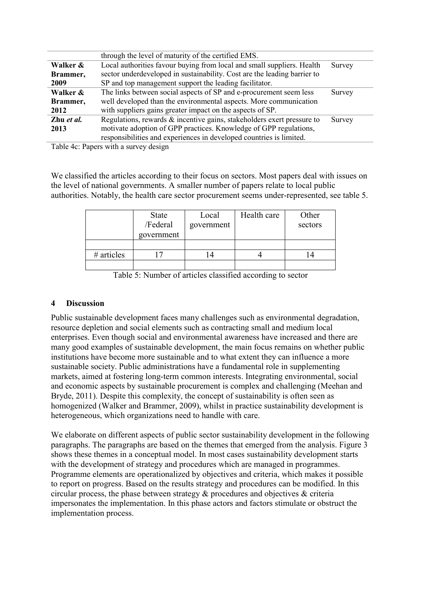|            | through the level of maturity of the certified EMS.                       |        |
|------------|---------------------------------------------------------------------------|--------|
| Walker &   | Local authorities favour buying from local and small suppliers. Health    | Survey |
| Brammer,   | sector underdeveloped in sustainability. Cost are the leading barrier to  |        |
| 2009       | SP and top management support the leading facilitator.                    |        |
| Walker &   | The links between social aspects of SP and e-procurement seem less        | Survey |
| Brammer,   | well developed than the environmental aspects. More communication         |        |
| 2012       | with suppliers gains greater impact on the aspects of SP.                 |        |
| Zhu et al. | Regulations, rewards $\&$ incentive gains, stakeholders exert pressure to | Survey |
| 2013       | motivate adoption of GPP practices. Knowledge of GPP regulations,         |        |
|            | responsibilities and experiences in developed countries is limited.       |        |
|            |                                                                           |        |

Table 4c: Papers with a survey design

We classified the articles according to their focus on sectors. Most papers deal with issues on the level of national governments. A smaller number of papers relate to local public authorities. Notably, the health care sector procurement seems under-represented, see table 5.

|              | <b>State</b><br>/Federal<br>government | Local<br>government | Health care | Other<br>sectors |
|--------------|----------------------------------------|---------------------|-------------|------------------|
|              |                                        |                     |             |                  |
| $#$ articles |                                        |                     |             |                  |
|              |                                        |                     |             |                  |

Table 5: Number of articles classified according to sector

## **4 Discussion**

Public sustainable development faces many challenges such as environmental degradation, resource depletion and social elements such as contracting small and medium local enterprises. Even though social and environmental awareness have increased and there are many good examples of sustainable development, the main focus remains on whether public institutions have become more sustainable and to what extent they can influence a more sustainable society. Public administrations have a fundamental role in supplementing markets, aimed at fostering long-term common interests. Integrating environmental, social and economic aspects by sustainable procurement is complex and challenging (Meehan and Bryde, 2011). Despite this complexity, the concept of sustainability is often seen as homogenized (Walker and Brammer, 2009), whilst in practice sustainability development is heterogeneous, which organizations need to handle with care.

We elaborate on different aspects of public sector sustainability development in the following paragraphs. The paragraphs are based on the themes that emerged from the analysis. Figure 3 shows these themes in a conceptual model. In most cases sustainability development starts with the development of strategy and procedures which are managed in programmes. Programme elements are operationalized by objectives and criteria, which makes it possible to report on progress. Based on the results strategy and procedures can be modified. In this circular process, the phase between strategy & procedures and objectives & criteria impersonates the implementation. In this phase actors and factors stimulate or obstruct the implementation process.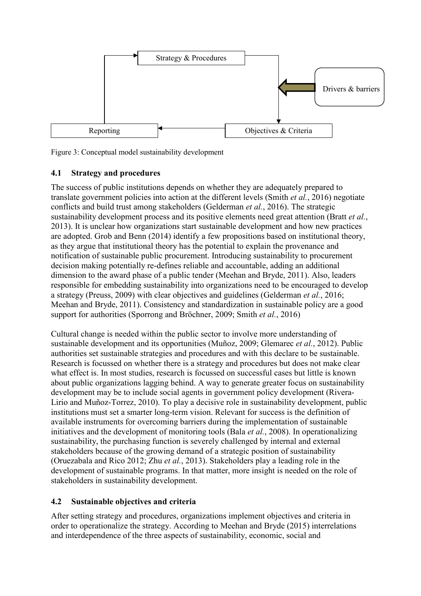

Figure 3: Conceptual model sustainability development

## **4.1 Strategy and procedures**

The success of public institutions depends on whether they are adequately prepared to translate government policies into action at the different levels (Smith *et al.*, 2016) negotiate conflicts and build trust among stakeholders (Gelderman *et al.*, 2016). The strategic sustainability development process and its positive elements need great attention (Bratt *et al.*, 2013). It is unclear how organizations start sustainable development and how new practices are adopted. Grob and Benn (2014) identify a few propositions based on institutional theory, as they argue that institutional theory has the potential to explain the provenance and notification of sustainable public procurement. Introducing sustainability to procurement decision making potentially re-defines reliable and accountable, adding an additional dimension to the award phase of a public tender (Meehan and Bryde, 2011). Also, leaders responsible for embedding sustainability into organizations need to be encouraged to develop a strategy (Preuss, 2009) with clear objectives and guidelines (Gelderman *et al.*, 2016; Meehan and Bryde, 2011). Consistency and standardization in sustainable policy are a good support for authorities (Sporrong and Bröchner, 2009; Smith *et al.*, 2016)

Cultural change is needed within the public sector to involve more understanding of sustainable development and its opportunities (Muñoz, 2009; Glemarec *et al.*, 2012). Public authorities set sustainable strategies and procedures and with this declare to be sustainable. Research is focussed on whether there is a strategy and procedures but does not make clear what effect is. In most studies, research is focussed on successful cases but little is known about public organizations lagging behind. A way to generate greater focus on sustainability development may be to include social agents in government policy development (Rivera-Lirio and Muñoz-Torrez, 2010). To play a decisive role in sustainability development, public institutions must set a smarter long-term vision. Relevant for success is the definition of available instruments for overcoming barriers during the implementation of sustainable initiatives and the development of monitoring tools (Bala *et al.*, 2008). In operationalizing sustainability, the purchasing function is severely challenged by internal and external stakeholders because of the growing demand of a strategic position of sustainability (Oruezabala and Rico 2012; Zhu *et al.*, 2013). Stakeholders play a leading role in the development of sustainable programs. In that matter, more insight is needed on the role of stakeholders in sustainability development.

## **4.2 Sustainable objectives and criteria**

After setting strategy and procedures, organizations implement objectives and criteria in order to operationalize the strategy. According to Meehan and Bryde (2015) interrelations and interdependence of the three aspects of sustainability, economic, social and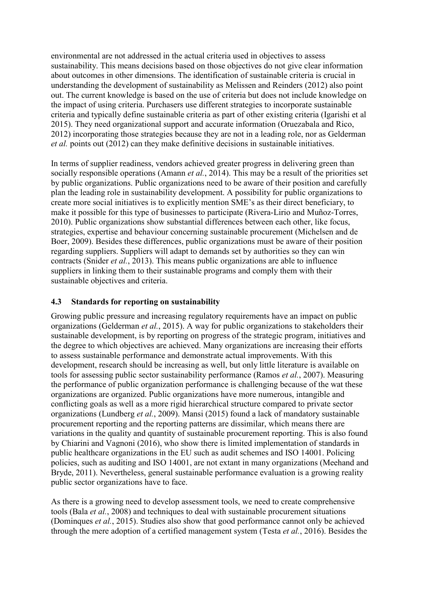environmental are not addressed in the actual criteria used in objectives to assess sustainability. This means decisions based on those objectives do not give clear information about outcomes in other dimensions. The identification of sustainable criteria is crucial in understanding the development of sustainability as Melissen and Reinders (2012) also point out. The current knowledge is based on the use of criteria but does not include knowledge on the impact of using criteria. Purchasers use different strategies to incorporate sustainable criteria and typically define sustainable criteria as part of other existing criteria (Igarishi et al 2015). They need organizational support and accurate information (Oruezabala and Rico, 2012) incorporating those strategies because they are not in a leading role, nor as Gelderman *et al.* points out (2012) can they make definitive decisions in sustainable initiatives.

In terms of supplier readiness, vendors achieved greater progress in delivering green than socially responsible operations (Amann *et al.*, 2014). This may be a result of the priorities set by public organizations. Public organizations need to be aware of their position and carefully plan the leading role in sustainability development. A possibility for public organizations to create more social initiatives is to explicitly mention SME's as their direct beneficiary, to make it possible for this type of businesses to participate (Rivera-Lirio and Muñoz-Torres, 2010). Public organizations show substantial differences between each other, like focus, strategies, expertise and behaviour concerning sustainable procurement (Michelsen and de Boer, 2009). Besides these differences, public organizations must be aware of their position regarding suppliers. Suppliers will adapt to demands set by authorities so they can win contracts (Snider *et al.*, 2013). This means public organizations are able to influence suppliers in linking them to their sustainable programs and comply them with their sustainable objectives and criteria.

## **4.3 Standards for reporting on sustainability**

Growing public pressure and increasing regulatory requirements have an impact on public organizations (Gelderman *et al.*, 2015). A way for public organizations to stakeholders their sustainable development, is by reporting on progress of the strategic program, initiatives and the degree to which objectives are achieved. Many organizations are increasing their efforts to assess sustainable performance and demonstrate actual improvements. With this development, research should be increasing as well, but only little literature is available on tools for assessing public sector sustainability performance (Ramos *et al.*, 2007). Measuring the performance of public organization performance is challenging because of the wat these organizations are organized. Public organizations have more numerous, intangible and conflicting goals as well as a more rigid hierarchical structure compared to private sector organizations (Lundberg *et al.*, 2009). Mansi (2015) found a lack of mandatory sustainable procurement reporting and the reporting patterns are dissimilar, which means there are variations in the quality and quantity of sustainable procurement reporting. This is also found by Chiarini and Vagnoni (2016), who show there is limited implementation of standards in public healthcare organizations in the EU such as audit schemes and ISO 14001. Policing policies, such as auditing and ISO 14001, are not extant in many organizations (Meehand and Bryde, 2011). Nevertheless, general sustainable performance evaluation is a growing reality public sector organizations have to face.

As there is a growing need to develop assessment tools, we need to create comprehensive tools (Bala *et al.*, 2008) and techniques to deal with sustainable procurement situations (Dominques *et al.*, 2015). Studies also show that good performance cannot only be achieved through the mere adoption of a certified management system (Testa *et al.*, 2016). Besides the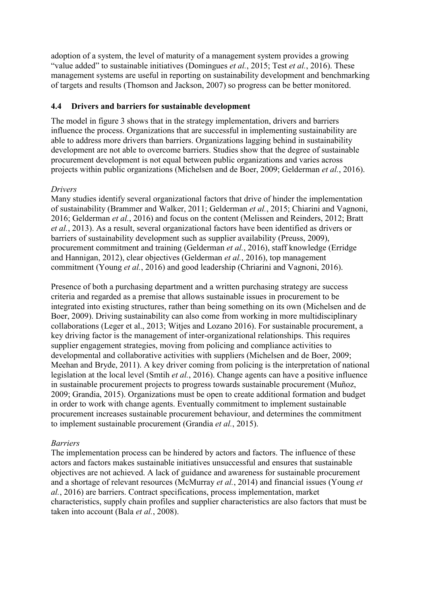adoption of a system, the level of maturity of a management system provides a growing "value added" to sustainable initiatives (Domingues *et al.*, 2015; Test *et al.*, 2016). These management systems are useful in reporting on sustainability development and benchmarking of targets and results (Thomson and Jackson, 2007) so progress can be better monitored.

#### **4.4 Drivers and barriers for sustainable development**

The model in figure 3 shows that in the strategy implementation, drivers and barriers influence the process. Organizations that are successful in implementing sustainability are able to address more drivers than barriers. Organizations lagging behind in sustainability development are not able to overcome barriers. Studies show that the degree of sustainable procurement development is not equal between public organizations and varies across projects within public organizations (Michelsen and de Boer, 2009; Gelderman *et al.*, 2016).

#### *Drivers*

Many studies identify several organizational factors that drive of hinder the implementation of sustainability (Brammer and Walker, 2011; Gelderman *et al.*, 2015; Chiarini and Vagnoni, 2016; Gelderman *et al.*, 2016) and focus on the content (Melissen and Reinders, 2012; Bratt *et al.*, 2013). As a result, several organizational factors have been identified as drivers or barriers of sustainability development such as supplier availability (Preuss, 2009), procurement commitment and training (Gelderman *et al.*, 2016), staff knowledge (Erridge and Hannigan, 2012), clear objectives (Gelderman *et al.*, 2016), top management commitment (Young *et al.*, 2016) and good leadership (Chriarini and Vagnoni, 2016).

Presence of both a purchasing department and a written purchasing strategy are success criteria and regarded as a premise that allows sustainable issues in procurement to be integrated into existing structures, rather than being something on its own (Michelsen and de Boer, 2009). Driving sustainability can also come from working in more multidisciplinary collaborations (Leger et al., 2013; Witjes and Lozano 2016). For sustainable procurement, a key driving factor is the management of inter-organizational relationships. This requires supplier engagement strategies, moving from policing and compliance activities to developmental and collaborative activities with suppliers (Michelsen and de Boer, 2009; Meehan and Bryde, 2011). A key driver coming from policing is the interpretation of national legislation at the local level (Smtih *et al.*, 2016). Change agents can have a positive influence in sustainable procurement projects to progress towards sustainable procurement (Muñoz, 2009; Grandia, 2015). Organizations must be open to create additional formation and budget in order to work with change agents. Eventually commitment to implement sustainable procurement increases sustainable procurement behaviour, and determines the commitment to implement sustainable procurement (Grandia *et al.*, 2015).

## *Barriers*

The implementation process can be hindered by actors and factors. The influence of these actors and factors makes sustainable initiatives unsuccessful and ensures that sustainable objectives are not achieved. A lack of guidance and awareness for sustainable procurement and a shortage of relevant resources (McMurray *et al.*, 2014) and financial issues (Young *et al.*, 2016) are barriers. Contract specifications, process implementation, market characteristics, supply chain profiles and supplier characteristics are also factors that must be taken into account (Bala *et al.*, 2008).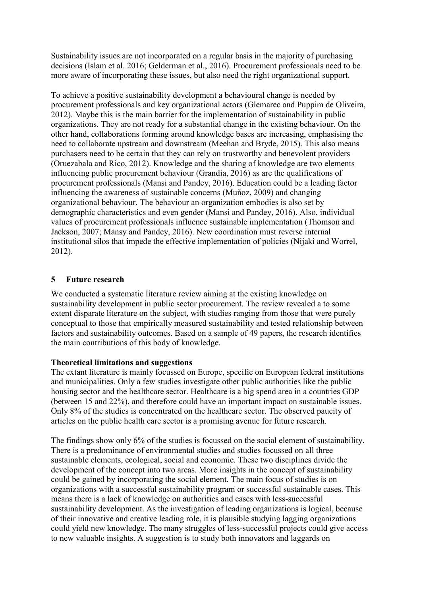Sustainability issues are not incorporated on a regular basis in the majority of purchasing decisions (Islam et al. 2016; Gelderman et al., 2016). Procurement professionals need to be more aware of incorporating these issues, but also need the right organizational support.

To achieve a positive sustainability development a behavioural change is needed by procurement professionals and key organizational actors (Glemarec and Puppim de Oliveira, 2012). Maybe this is the main barrier for the implementation of sustainability in public organizations. They are not ready for a substantial change in the existing behaviour. On the other hand, collaborations forming around knowledge bases are increasing, emphasising the need to collaborate upstream and downstream (Meehan and Bryde, 2015). This also means purchasers need to be certain that they can rely on trustworthy and benevolent providers (Oruezabala and Rico, 2012). Knowledge and the sharing of knowledge are two elements influencing public procurement behaviour (Grandia, 2016) as are the qualifications of procurement professionals (Mansi and Pandey, 2016). Education could be a leading factor influencing the awareness of sustainable concerns (Muñoz, 2009) and changing organizational behaviour. The behaviour an organization embodies is also set by demographic characteristics and even gender (Mansi and Pandey, 2016). Also, individual values of procurement professionals influence sustainable implementation (Thomson and Jackson, 2007; Mansy and Pandey, 2016). New coordination must reverse internal institutional silos that impede the effective implementation of policies (Nijaki and Worrel, 2012).

#### **5 Future research**

We conducted a systematic literature review aiming at the existing knowledge on sustainability development in public sector procurement. The review revealed a to some extent disparate literature on the subject, with studies ranging from those that were purely conceptual to those that empirically measured sustainability and tested relationship between factors and sustainability outcomes. Based on a sample of 49 papers, the research identifies the main contributions of this body of knowledge.

#### **Theoretical limitations and suggestions**

The extant literature is mainly focussed on Europe, specific on European federal institutions and municipalities. Only a few studies investigate other public authorities like the public housing sector and the healthcare sector. Healthcare is a big spend area in a countries GDP (between 15 and 22%), and therefore could have an important impact on sustainable issues. Only 8% of the studies is concentrated on the healthcare sector. The observed paucity of articles on the public health care sector is a promising avenue for future research.

The findings show only 6% of the studies is focussed on the social element of sustainability. There is a predominance of environmental studies and studies focussed on all three sustainable elements, ecological, social and economic. These two disciplines divide the development of the concept into two areas. More insights in the concept of sustainability could be gained by incorporating the social element. The main focus of studies is on organizations with a successful sustainability program or successful sustainable cases. This means there is a lack of knowledge on authorities and cases with less-successful sustainability development. As the investigation of leading organizations is logical, because of their innovative and creative leading role, it is plausible studying lagging organizations could yield new knowledge. The many struggles of less-successful projects could give access to new valuable insights. A suggestion is to study both innovators and laggards on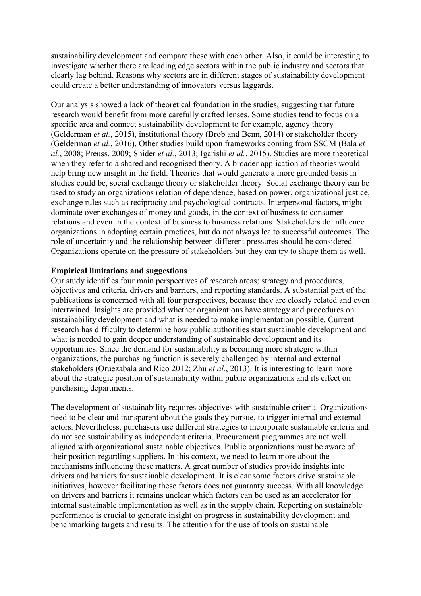sustainability development and compare these with each other. Also, it could be interesting to investigate whether there are leading edge sectors within the public industry and sectors that clearly lag behind. Reasons why sectors are in different stages of sustainability development could create a better understanding of innovators versus laggards.

Our analysis showed a lack of theoretical foundation in the studies, suggesting that future research would benefit from more carefully crafted lenses. Some studies tend to focus on a specific area and connect sustainability development to for example, agency theory (Gelderman *et al.*, 2015), institutional theory (Brob and Benn, 2014) or stakeholder theory (Gelderman *et al.*, 2016). Other studies build upon frameworks coming from SSCM (Bala *et al.*, 2008; Preuss, 2009; Snider *et al.*, 2013; Igarishi *et al.*, 2015). Studies are more theoretical when they refer to a shared and recognised theory. A broader application of theories would help bring new insight in the field. Theories that would generate a more grounded basis in studies could be, social exchange theory or stakeholder theory. Social exchange theory can be used to study an organizations relation of dependence, based on power, organizational justice, exchange rules such as reciprocity and psychological contracts. Interpersonal factors, might dominate over exchanges of money and goods, in the context of business to consumer relations and even in the context of business to business relations. Stakeholders do influence organizations in adopting certain practices, but do not always lea to successful outcomes. The role of uncertainty and the relationship between different pressures should be considered. Organizations operate on the pressure of stakeholders but they can try to shape them as well.

#### **Empirical limitations and suggestions**

Our study identifies four main perspectives of research areas; strategy and procedures, objectives and criteria, drivers and barriers, and reporting standards. A substantial part of the publications is concerned with all four perspectives, because they are closely related and even intertwined. Insights are provided whether organizations have strategy and procedures on sustainability development and what is needed to make implementation possible. Current research has difficulty to determine how public authorities start sustainable development and what is needed to gain deeper understanding of sustainable development and its opportunities. Since the demand for sustainability is becoming more strategic within organizations, the purchasing function is severely challenged by internal and external stakeholders (Oruezabala and Rico 2012; Zhu *et al.*, 2013). It is interesting to learn more about the strategic position of sustainability within public organizations and its effect on purchasing departments.

The development of sustainability requires objectives with sustainable criteria. Organizations need to be clear and transparent about the goals they pursue, to trigger internal and external actors. Nevertheless, purchasers use different strategies to incorporate sustainable criteria and do not see sustainability as independent criteria. Procurement programmes are not well aligned with organizational sustainable objectives. Public organizations must be aware of their position regarding suppliers. In this context, we need to learn more about the mechanisms influencing these matters. A great number of studies provide insights into drivers and barriers for sustainable development. It is clear some factors drive sustainable initiatives, however facilitating these factors does not guaranty success. With all knowledge on drivers and barriers it remains unclear which factors can be used as an accelerator for internal sustainable implementation as well as in the supply chain. Reporting on sustainable performance is crucial to generate insight on progress in sustainability development and benchmarking targets and results. The attention for the use of tools on sustainable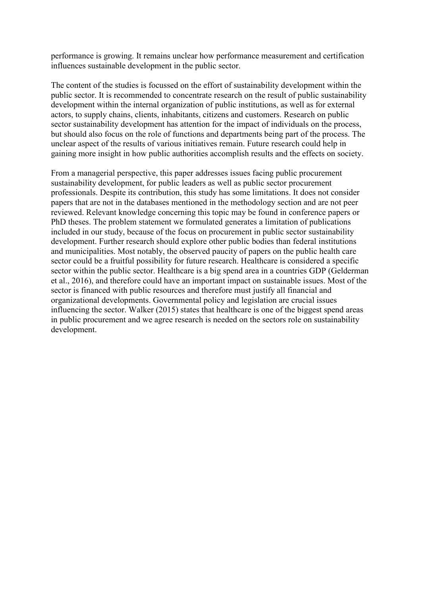performance is growing. It remains unclear how performance measurement and certification influences sustainable development in the public sector.

The content of the studies is focussed on the effort of sustainability development within the public sector. It is recommended to concentrate research on the result of public sustainability development within the internal organization of public institutions, as well as for external actors, to supply chains, clients, inhabitants, citizens and customers. Research on public sector sustainability development has attention for the impact of individuals on the process, but should also focus on the role of functions and departments being part of the process. The unclear aspect of the results of various initiatives remain. Future research could help in gaining more insight in how public authorities accomplish results and the effects on society.

From a managerial perspective, this paper addresses issues facing public procurement sustainability development, for public leaders as well as public sector procurement professionals. Despite its contribution, this study has some limitations. It does not consider papers that are not in the databases mentioned in the methodology section and are not peer reviewed. Relevant knowledge concerning this topic may be found in conference papers or PhD theses. The problem statement we formulated generates a limitation of publications included in our study, because of the focus on procurement in public sector sustainability development. Further research should explore other public bodies than federal institutions and municipalities. Most notably, the observed paucity of papers on the public health care sector could be a fruitful possibility for future research. Healthcare is considered a specific sector within the public sector. Healthcare is a big spend area in a countries GDP (Gelderman et al., 2016), and therefore could have an important impact on sustainable issues. Most of the sector is financed with public resources and therefore must justify all financial and organizational developments. Governmental policy and legislation are crucial issues influencing the sector. Walker (2015) states that healthcare is one of the biggest spend areas in public procurement and we agree research is needed on the sectors role on sustainability development.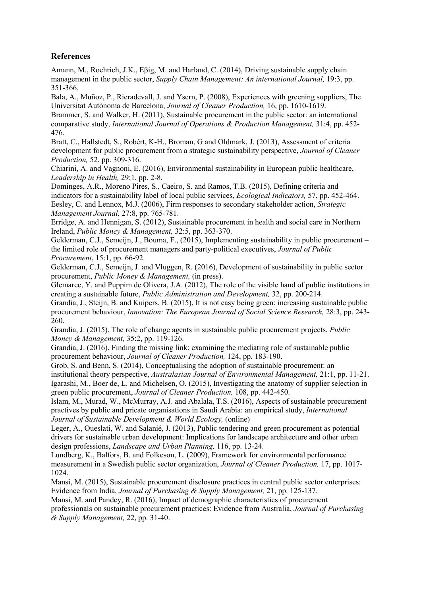## **References**

Amann, M., Roehrich, J.K., Eβig, M. and Harland, C. (2014), Driving sustainable supply chain management in the public sector, *Supply Chain Management: An international Journal,* 19:3, pp. 351-366.

Bala, A., Muñoz, P., Rieradevall, J. and Ysern, P. (2008), Experiences with greening suppliers, The Universitat Autònoma de Barcelona, *Journal of Cleaner Production,* 16, pp. 1610-1619.

Brammer, S. and Walker, H. (2011), Sustainable procurement in the public sector: an international comparative study, *International Journal of Operations & Production Management,* 31:4, pp. 452- 476.

Bratt, C., Hallstedt, S., Robèrt, K-H., Broman, G and Oldmark, J. (2013), Assessment of criteria development for public procurement from a strategic sustainability perspective, *Journal of Cleaner Production,* 52, pp. 309-316.

Chiarini, A. and Vagnoni, E. (2016), Environmental sustainability in European public healthcare, *Leadership in Health,* 29;1, pp. 2-8.

Dominges, A.R., Moreno Pires, S., Caeiro, S. and Ramos, T.B. (2015), Defining criteria and indicators for a sustainability label of local public services, *Ecological Indicators,* 57, pp. 452-464. Eesley, C. and Lennox, M.J. (2006), Firm responses to secondary stakeholder action, *Strategic Management Journal,* 27:8, pp. 765-781.

Erridge, A. and Hennigan, S. (2012), Sustainable procurement in health and social care in Northern Ireland, *Public Money & Management,* 32:5, pp. 363-370.

Gelderman, C.J., Semeijn, J., Bouma, F., (2015), Implementing sustainability in public procurement – the limited role of procurement managers and party-political executives, *Journal of Public Procurement*, 15:1, pp. 66-92.

Gelderman, C.J., Semeijn, J. and Vluggen, R. (2016), Development of sustainability in public sector procurement, *Public Money & Management,* (in press).

Glemarec, Y. and Puppim de Olivera, J.A. (2012), The role of the visible hand of public institutions in creating a sustainable future, *Public Administration and Development,* 32, pp. 200-214.

Grandia, J., Steijn, B. and Kuipers, B. (2015), It is not easy being green: increasing sustainable public procurement behaviour, *Innovation: The European Journal of Social Science Research,* 28:3, pp. 243- 260.

Grandia, J. (2015), The role of change agents in sustainable public procurement projects, *Public Money & Management,* 35:2, pp. 119-126.

Grandia, J. (2016), Finding the missing link: examining the mediating role of sustainable public procurement behaviour, *Journal of Cleaner Production,* 124, pp. 183-190.

Grob, S. and Benn, S. (2014), Conceptualising the adoption of sustainable procurement: an institutional theory perspective, *Australasian Journal of Environmental Management,* 21:1, pp. 11-21. Igarashi, M., Boer de, L. and Michelsen, O. (2015), Investigating the anatomy of supplier selection in green public procurement, *Journal of Cleaner Production,* 108, pp. 442-450.

Islam, M., Murad, W., McMurray, A.J. and Abalala, T.S. (2016), Aspects of sustainable procurement practives by public and pricate organisations in Saudi Arabia: an empirical study, *International Journal of Sustainable Development & World Ecology,* (online)

Leger, A., Oueslati, W. and Salanié, J. (2013), Public tendering and green procurement as potential drivers for sustainable urban development: Implications for landscape architecture and other urban design professions, *Landscape and Urban Planning,* 116, pp. 13-24.

Lundberg, K., Balfors, B. and Folkeson, L. (2009), Framework for environmental performance measurement in a Swedish public sector organization, *Journal of Cleaner Production,* 17, pp. 1017- 1024.

Mansi, M. (2015), Sustainable procurement disclosure practices in central public sector enterprises: Evidence from India, *Journal of Purchasing & Supply Management,* 21, pp. 125-137.

Mansi, M. and Pandey, R. (2016), Impact of demographic characteristics of procurement

professionals on sustainable procurement practices: Evidence from Australia, *Journal of Purchasing & Supply Management,* 22, pp. 31-40.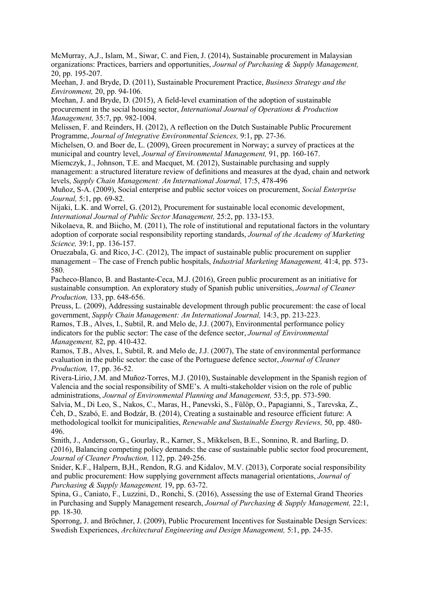McMurray, A,J., Islam, M., Siwar, C. and Fien, J. (2014), Sustainable procurement in Malaysian organizations: Practices, barriers and opportunities, *Journal of Purchasing & Supply Management,* 20, pp. 195-207.

Meehan, J. and Bryde, D. (2011), Sustainable Procurement Practice, *Business Strategy and the Environment,* 20, pp. 94-106.

Meehan, J. and Bryde, D. (2015), A field-level examination of the adoption of sustainable procurement in the social housing sector, *International Journal of Operations & Production Management,* 35:7, pp. 982-1004.

Melissen, F. and Reinders, H. (2012), A reflection on the Dutch Sustainable Public Procurement Programme, *Journal of Integrative Environmental Sciences,* 9:1, pp. 27-36.

Michelsen, O. and Boer de, L. (2009), Green procurement in Norway; a survey of practices at the municipal and country level, *Journal of Environmental Management,* 91, pp. 160-167.

Miemczyk, J., Johnson, T.E. and Macquet, M. (2012), Sustainable purchasing and supply management: a structured literature review of definitions and measures at the dyad, chain and network levels, *Supply Chain Management: An International Journal,* 17:5, 478-496

Muñoz, S-A. (2009), Social enterprise and public sector voices on procurement, *Social Enterprise Journal,* 5:1, pp. 69-82.

Nijaki, L.K. and Worrel, G. (2012), Procurement for sustainable local economic development, *International Journal of Public Sector Management,* 25:2, pp. 133-153.

Nikolaeva, R. and Biicho, M. (2011), The role of institutional and reputational factors in the voluntary adoption of corporate social responsibility reporting standards, *Journal of the Academy of Marketing Science,* 39:1, pp. 136-157.

Oruezabala, G. and Rico, J-C. (2012), The impact of sustainable public procurement on supplier management – The case of French public hospitals, *Industrial Marketing Management,* 41:4, pp. 573- 580.

Pacheco-Blanco, B. and Bastante-Ceca, M.J. (2016), Green public procurement as an initiative for sustainable consumption. An exploratory study of Spanish public universities, *Journal of Cleaner Production,* 133, pp. 648-656.

Preuss, L. (2009), Addressing sustainable development through public procurement: the case of local government, *Supply Chain Management: An International Journal,* 14:3, pp. 213-223.

Ramos, T.B., Alves, I., Subtil, R. and Melo de, J.J. (2007), Environmental performance policy indicators for the public sector: The case of the defence sector, *Journal of Environmental Management,* 82, pp. 410-432.

Ramos, T.B., Alves, I., Subtil, R. and Melo de, J.J. (2007), The state of environmental performance evaluation in the public sector: the case of the Portuguese defence sector, *Journal of Cleaner Production,* 17, pp. 36-52.

Rivera-Lirio, J.M. and Muñoz-Torres, M.J. (2010), Sustainable development in the Spanish region of Valencia and the social responsibility of SME's. A multi-stakeholder vision on the role of public administrations, *Journal of Environmental Planning and Management,* 53:5, pp. 573-590.

Salvia, M., Di Leo, S., Nakos, C., Maras, H., Panevski, S., Fülöp, O., Papagianni, S., Tarevska, Z., Čeh, D., Szabó, E. and Bodzár, B. (2014), Creating a sustainable and resource efficient future: A methodological toolkit for municipalities, *Renewable and Sustainable Energy Reviews,* 50, pp. 480- 496.

Smith, J., Andersson, G., Gourlay, R., Karner, S., Mikkelsen, B.E., Sonnino, R. and Barling, D. (2016), Balancing competing policy demands: the case of sustainable public sector food procurement, *Journal of Cleaner Production,* 112, pp. 249-256.

Snider, K.F., Halpern, B,H., Rendon, R.G. and Kidalov, M.V. (2013), Corporate social responsibility and public procurement: How supplying government affects managerial orientations, *Journal of Purchasing & Supply Management,* 19, pp. 63-72.

Spina, G., Caniato, F., Luzzini, D., Ronchi, S. (2016), Assessing the use of External Grand Theories in Purchasing and Supply Management research, *Journal of Purchasing & Supply Management,* 22:1, pp. 18-30.

Sporrong, J. and Bröchner, J. (2009), Public Procurement Incentives for Sustainable Design Services: Swedish Experiences, *Architectural Engineering and Design Management,* 5:1, pp. 24-35.